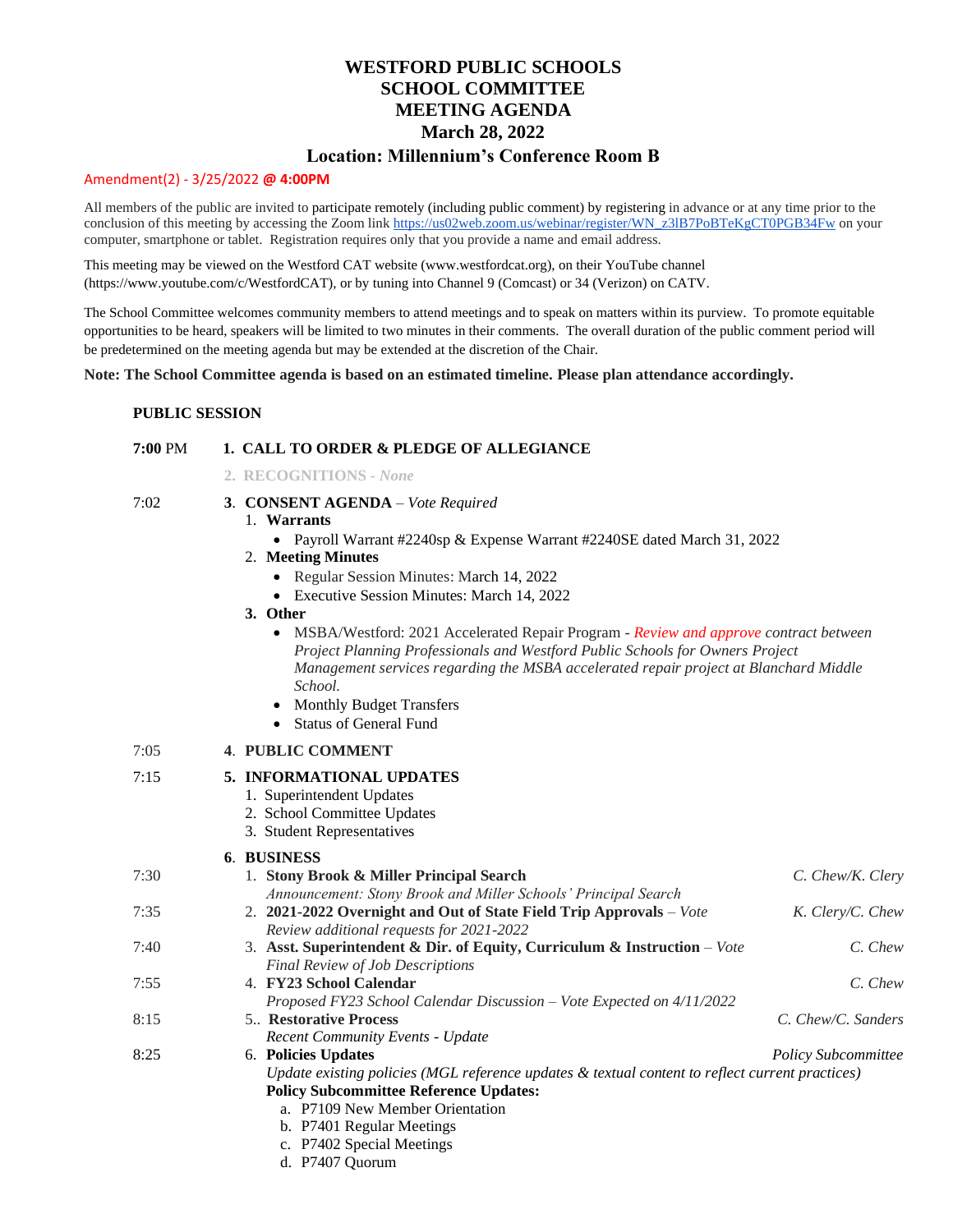# **WESTFORD PUBLIC SCHOOLS SCHOOL COMMITTEE MEETING AGENDA March 28, 2022**

# **Location: Millennium's Conference Room B**

#### Amendment(2) - 3/25/2022 **@ 4:00PM**

All members of the public are invited to participate remotely (including public comment) by registering in advance or at any time prior to the conclusion of this meeting by accessing the Zoom lin[k https://us02web.zoom.us/webinar/register/WN\\_z3lB7PoBTeKgCT0PGB34Fw](https://us02web.zoom.us/webinar/register/WN_z3lB7PoBTeKgCT0PGB34Fw) on your computer, smartphone or tablet. Registration requires only that you provide a name and email address.

This meeting may be viewed on the Westford CAT website (www.westfordcat.org), on their YouTube channel (https://www.youtube.com/c/WestfordCAT), or by tuning into Channel 9 (Comcast) or 34 (Verizon) on CATV.

The School Committee welcomes community members to attend meetings and to speak on matters within its purview. To promote equitable opportunities to be heard, speakers will be limited to two minutes in their comments. The overall duration of the public comment period will be predetermined on the meeting agenda but may be extended at the discretion of the Chair.

**Note: The School Committee agenda is based on an estimated timeline. Please plan attendance accordingly.**

#### **PUBLIC SESSION**

# **7:00** PM **1. CALL TO ORDER & PLEDGE OF ALLEGIANCE**

- **2. RECOGNITIONS** *- None*
- 7:02 **3**. **CONSENT AGENDA** *– Vote Required*
	- 1. **Warrants** 
		- Payroll Warrant #2240sp & Expense Warrant #2240SE dated March 31, 2022
		- 2. **Meeting Minutes**
			- Regular Session Minutes: March 14, 2022
			- Executive Session Minutes: March 14, 2022
		- **3. Other**
			- MSBA/Westford: 2021 Accelerated Repair Program *Review and approve contract between Project Planning Professionals and Westford Public Schools for Owners Project Management services regarding the MSBA accelerated repair project at Blanchard Middle School.*
			- Monthly Budget Transfers
			- Status of General Fund

# 7:05 **4**. **PUBLIC COMMENT**

#### 7:15 **5. INFORMATIONAL UPDATES**

- 1. Superintendent Updates
- 2. School Committee Updates
- 3. Student Representatives

#### **6**. **BUSINESS**

|                                                                           | C. Chew/K. Clery                                                                                                                            |
|---------------------------------------------------------------------------|---------------------------------------------------------------------------------------------------------------------------------------------|
| Announcement: Stony Brook and Miller Schools' Principal Search            |                                                                                                                                             |
| 2. 2021-2022 Overnight and Out of State Field Trip Approvals - Vote       | K. Clery/C. Chew                                                                                                                            |
| Review additional requests for 2021-2022                                  |                                                                                                                                             |
| 3. Asst. Superintendent & Dir. of Equity, Curriculum & Instruction - Vote | C. Chew                                                                                                                                     |
| <b>Final Review of Job Descriptions</b>                                   |                                                                                                                                             |
| 4. FY23 School Calendar                                                   | C. Chew                                                                                                                                     |
| Proposed FY23 School Calendar Discussion - Vote Expected on 4/11/2022     |                                                                                                                                             |
| <b>5</b> Restorative Process                                              | C. Chew/C. Sanders                                                                                                                          |
| <b>Recent Community Events - Update</b>                                   |                                                                                                                                             |
| 6. Policies Updates                                                       | <b>Policy Subcommittee</b>                                                                                                                  |
|                                                                           |                                                                                                                                             |
| <b>Policy Subcommittee Reference Updates:</b>                             |                                                                                                                                             |
| a. P7109 New Member Orientation                                           |                                                                                                                                             |
| b. P7401 Regular Meetings                                                 |                                                                                                                                             |
| c. P7402 Special Meetings                                                 |                                                                                                                                             |
| d. P7407 Quorum                                                           |                                                                                                                                             |
|                                                                           | 1. Stony Brook & Miller Principal Search<br>Update existing policies (MGL reference updates & textual content to reflect current practices) |